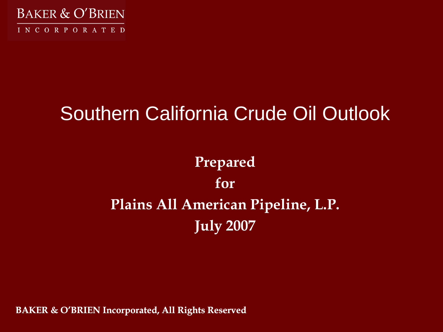

# Southern California Crude Oil Outlook

# **Prepared for Plains All American Pipeline, L.P. July 2007**

**BAKER & O'BRIEN Incorporated, All Rights Reserved**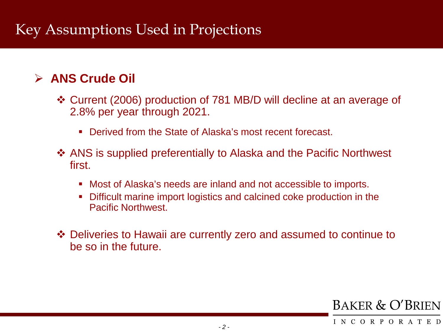## Key Assumptions Used in Projections

### **ANS Crude Oil**

- Current (2006) production of 781 MB/D will decline at an average of 2.8% per year through 2021.
	- **Derived from the State of Alaska's most recent forecast.**
- ANS is supplied preferentially to Alaska and the Pacific Northwest first.
	- Most of Alaska's needs are inland and not accessible to imports.
	- Difficult marine import logistics and calcined coke production in the Pacific Northwest.
- Deliveries to Hawaii are currently zero and assumed to continue to be so in the future.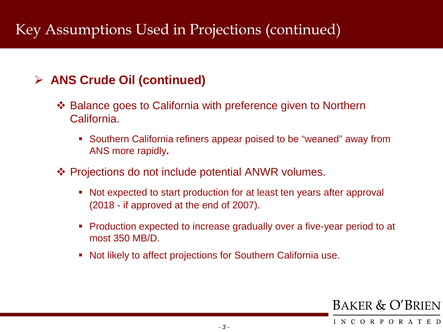### **ANS Crude Oil (continued)**

- ❖ Balance goes to California with preference given to Northern California.
	- Southern California refiners appear poised to be "weaned" away from ANS more rapidly**.**
- ❖ Projections do not include potential ANWR volumes.
	- Not expected to start production for at least ten years after approval (2018 - if approved at the end of 2007).
	- Production expected to increase gradually over a five-year period to at most 350 MB/D.
	- Not likely to affect projections for Southern California use.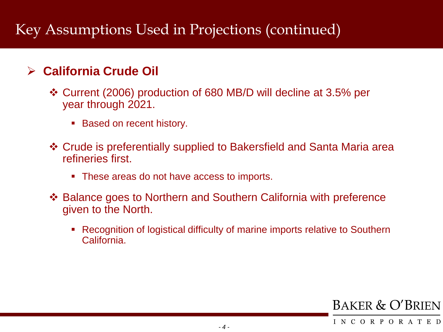### **California Crude Oil**

- Current (2006) production of 680 MB/D will decline at 3.5% per year through 2021.
	- Based on recent history.
- Crude is preferentially supplied to Bakersfield and Santa Maria area refineries first.
	- These areas do not have access to imports.
- Balance goes to Northern and Southern California with preference given to the North.
	- Recognition of logistical difficulty of marine imports relative to Southern California.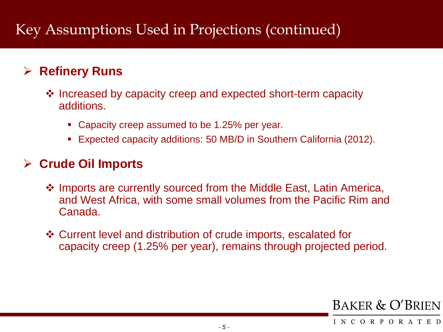### **Refinery Runs**

- **Ex** Increased by capacity creep and expected short-term capacity additions.
	- Capacity creep assumed to be 1.25% per year.
	- Expected capacity additions: 50 MB/D in Southern California (2012).

#### **Crude Oil Imports**

- ❖ Imports are currently sourced from the Middle East, Latin America, and West Africa, with some small volumes from the Pacific Rim and Canada.
- Current level and distribution of crude imports, escalated for capacity creep (1.25% per year), remains through projected period.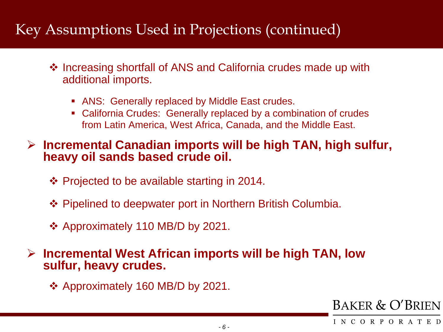- ❖ Increasing shortfall of ANS and California crudes made up with additional imports.
	- ANS: Generally replaced by Middle East crudes.
	- California Crudes: Generally replaced by a combination of crudes from Latin America, West Africa, Canada, and the Middle East.

#### **Incremental Canadian imports will be high TAN, high sulfur, heavy oil sands based crude oil.**

- $\div$  Projected to be available starting in 2014.
- ◆ Pipelined to deepwater port in Northern British Columbia.
- Approximately 110 MB/D by 2021.

#### **Incremental West African imports will be high TAN, low sulfur, heavy crudes.**

Approximately 160 MB/D by 2021.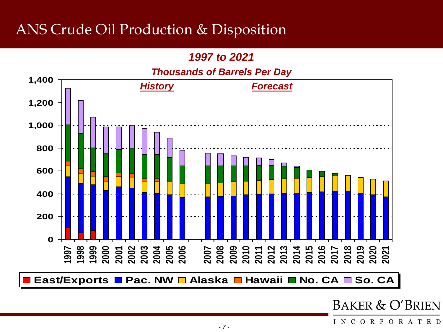### ANS Crude Oil Production & Disposition

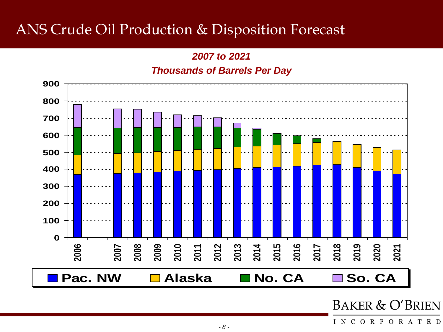### ANS Crude Oil Production & Disposition Forecast

*2007 to 2021 Thousands of Barrels Per Day*

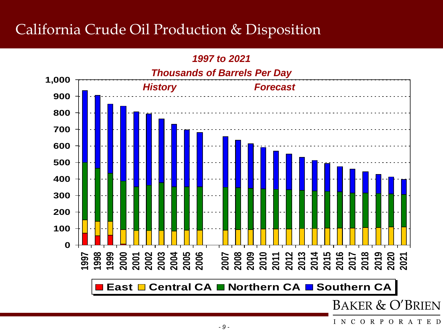### California Crude Oil Production & Disposition

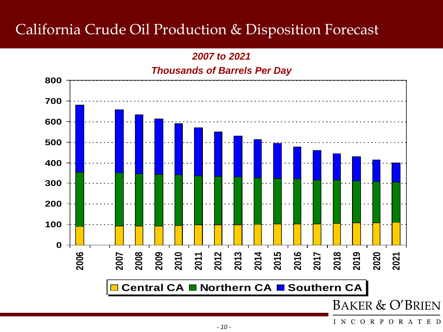### California Crude Oil Production & Disposition Forecast

*2007 to 2021 Thousands of Barrels Per Day*

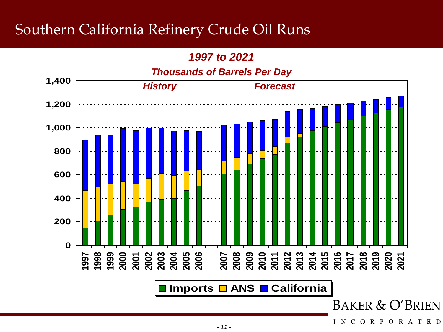### Southern California Refinery Crude Oil Runs

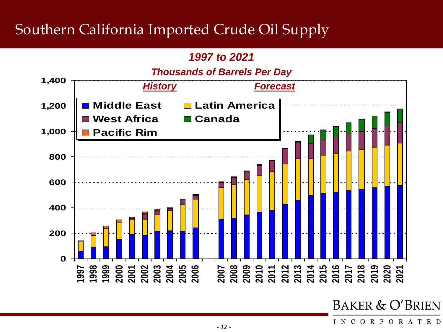### Southern California Imported Crude Oil Supply

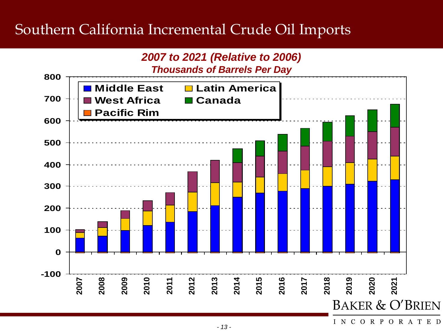### Southern California Incremental Crude Oil Imports



INCORPORATED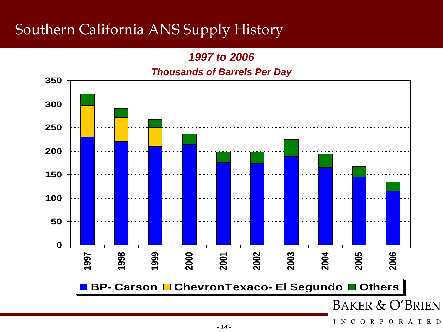# Southern California ANS Supply History

*1997 to 2006*

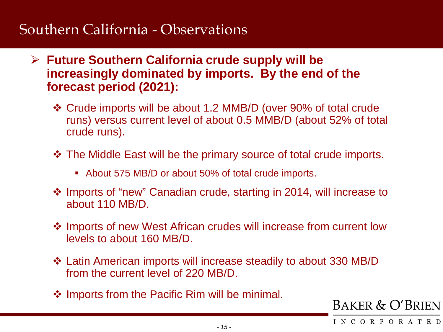### Southern California - Observations

- **Future Southern California crude supply will be increasingly dominated by imports. By the end of the forecast period (2021):**
	- Crude imports will be about 1.2 MMB/D (over 90% of total crude runs) versus current level of about 0.5 MMB/D (about 52% of total crude runs).
	- The Middle East will be the primary source of total crude imports.
		- About 575 MB/D or about 50% of total crude imports.
	- Imports of "new" Canadian crude, starting in 2014, will increase to about 110 MB/D.
	- $\triangle$  Imports of new West African crudes will increase from current low levels to about 160 MB/D.
	- Latin American imports will increase steadily to about 330 MB/D from the current level of 220 MB/D.
	- ❖ Imports from the Pacific Rim will be minimal.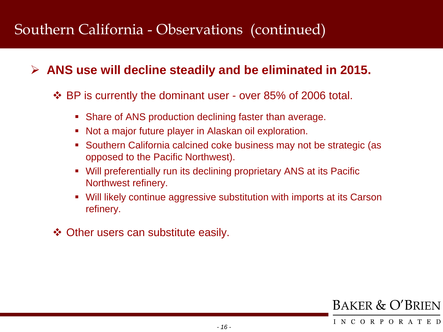### Southern California - Observations (continued)

#### **ANS use will decline steadily and be eliminated in 2015.**

#### BP is currently the dominant user - over 85% of 2006 total.

- Share of ANS production declining faster than average.
- Not a major future player in Alaskan oil exploration.
- **Southern California calcined coke business may not be strategic (as** opposed to the Pacific Northwest).
- Will preferentially run its declining proprietary ANS at its Pacific Northwest refinery.
- Will likely continue aggressive substitution with imports at its Carson refinery.
- **❖ Other users can substitute easily.**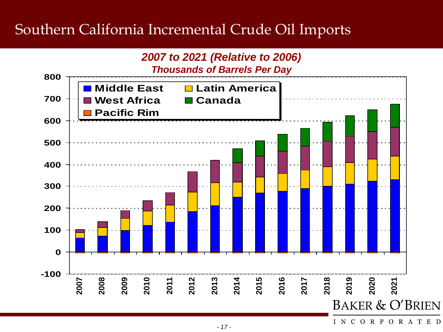### Southern California Incremental Crude Oil Imports



INCORPORATED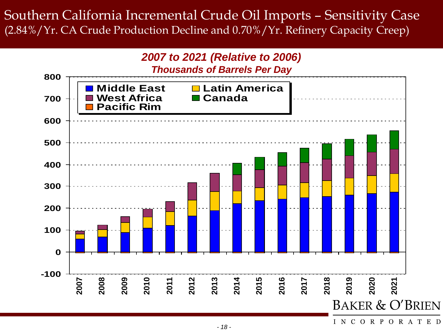### Southern California Incremental Crude Oil Imports – Sensitivity Case (2.84%/Yr. CA Crude Production Decline and 0.70%/Yr. Refinery Capacity Creep)



INCORPORATED